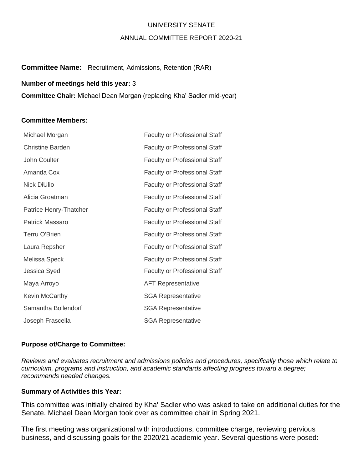## UNIVERSITY SENATE

### ANNUAL COMMITTEE REPORT 2020-21

## **Committee Name:** Recruitment, Admissions, Retention (RAR)

#### **Number of meetings held this year:** 3

**Committee Chair:** Michael Dean Morgan (replacing Kha' Sadler mid-year)

#### **Committee Members:**

| Michael Morgan          | <b>Faculty or Professional Staff</b> |
|-------------------------|--------------------------------------|
| <b>Christine Barden</b> | <b>Faculty or Professional Staff</b> |
| John Coulter            | <b>Faculty or Professional Staff</b> |
| Amanda Cox              | <b>Faculty or Professional Staff</b> |
| <b>Nick DiUlio</b>      | <b>Faculty or Professional Staff</b> |
| Alicia Groatman         | <b>Faculty or Professional Staff</b> |
| Patrice Henry-Thatcher  | <b>Faculty or Professional Staff</b> |
| Patrick Massaro         | <b>Faculty or Professional Staff</b> |
| <b>Terru O'Brien</b>    | <b>Faculty or Professional Staff</b> |
| Laura Repsher           | <b>Faculty or Professional Staff</b> |
| Melissa Speck           | <b>Faculty or Professional Staff</b> |
| Jessica Syed            | <b>Faculty or Professional Staff</b> |
| Maya Arroyo             | <b>AFT Representative</b>            |
| Kevin McCarthy          | <b>SGA Representative</b>            |
| Samantha Bollendorf     | <b>SGA Representative</b>            |
| Joseph Frascella        | <b>SGA Representative</b>            |

### **Purpose of/Charge to Committee:**

*Reviews and evaluates recruitment and admissions policies and procedures, specifically those which relate to curriculum, programs and instruction, and academic standards affecting progress toward a degree; recommends needed changes.* 

## **Summary of Activities this Year:**

This committee was initially chaired by Kha' Sadler who was asked to take on additional duties for the Senate. Michael Dean Morgan took over as committee chair in Spring 2021.

The first meeting was organizational with introductions, committee charge, reviewing pervious business, and discussing goals for the 2020/21 academic year. Several questions were posed: